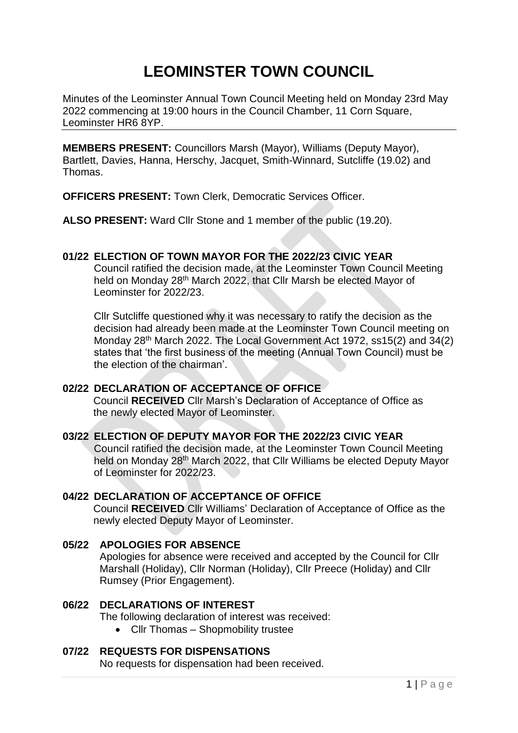# **LEOMINSTER TOWN COUNCIL**

Minutes of the Leominster Annual Town Council Meeting held on Monday 23rd May 2022 commencing at 19:00 hours in the Council Chamber, 11 Corn Square, Leominster HR6 8YP.

**MEMBERS PRESENT:** Councillors Marsh (Mayor), Williams (Deputy Mayor), Bartlett, Davies, Hanna, Herschy, Jacquet, Smith-Winnard, Sutcliffe (19.02) and Thomas.

**OFFICERS PRESENT:** Town Clerk, Democratic Services Officer.

**ALSO PRESENT:** Ward Cllr Stone and 1 member of the public (19.20).

## **01/22 ELECTION OF TOWN MAYOR FOR THE 2022/23 CIVIC YEAR**

Council ratified the decision made, at the Leominster Town Council Meeting held on Monday 28<sup>th</sup> March 2022, that Cllr Marsh be elected Mayor of Leominster for 2022/23.

Cllr Sutcliffe questioned why it was necessary to ratify the decision as the decision had already been made at the Leominster Town Council meeting on Monday 28th March 2022. The Local Government Act 1972, ss15(2) and 34(2) states that 'the first business of the meeting (Annual Town Council) must be the election of the chairman'.

## **02/22 DECLARATION OF ACCEPTANCE OF OFFICE**

Council **RECEIVED** Cllr Marsh's Declaration of Acceptance of Office as the newly elected Mayor of Leominster.

## **03/22 ELECTION OF DEPUTY MAYOR FOR THE 2022/23 CIVIC YEAR**

Council ratified the decision made, at the Leominster Town Council Meeting held on Monday 28<sup>th</sup> March 2022, that Cllr Williams be elected Deputy Mayor of Leominster for 2022/23.

#### **04/22 DECLARATION OF ACCEPTANCE OF OFFICE**

Council **RECEIVED** Cllr Williams' Declaration of Acceptance of Office as the newly elected Deputy Mayor of Leominster.

#### **05/22 APOLOGIES FOR ABSENCE**

Apologies for absence were received and accepted by the Council for Cllr Marshall (Holiday), Cllr Norman (Holiday), Cllr Preece (Holiday) and Cllr Rumsey (Prior Engagement).

## **06/22 DECLARATIONS OF INTEREST**

The following declaration of interest was received:

• Cllr Thomas – Shopmobility trustee

#### **07/22 REQUESTS FOR DISPENSATIONS**

No requests for dispensation had been received.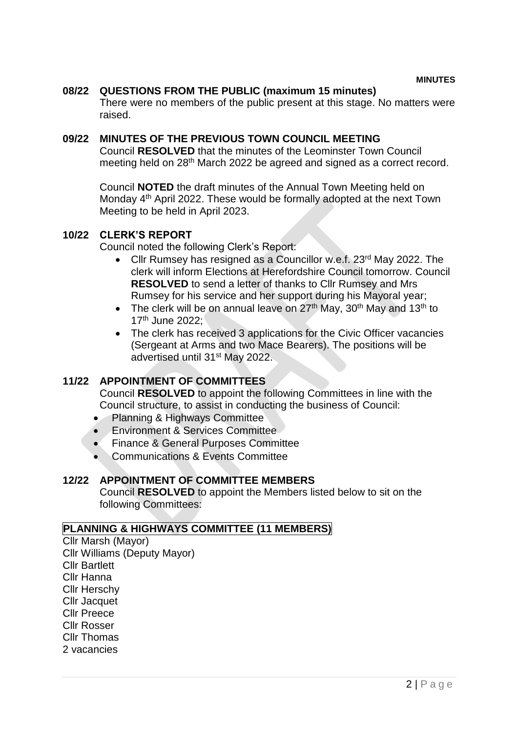#### **08/22 QUESTIONS FROM THE PUBLIC (maximum 15 minutes)**

There were no members of the public present at this stage. No matters were raised.

#### **09/22 MINUTES OF THE PREVIOUS TOWN COUNCIL MEETING**

Council **RESOLVED** that the minutes of the Leominster Town Council meeting held on 28<sup>th</sup> March 2022 be agreed and signed as a correct record.

Council **NOTED** the draft minutes of the Annual Town Meeting held on Monday 4<sup>th</sup> April 2022. These would be formally adopted at the next Town Meeting to be held in April 2023.

#### **10/22 CLERK'S REPORT**

Council noted the following Clerk's Report:

- Cllr Rumsey has resigned as a Councillor w.e.f. 23<sup>rd</sup> May 2022. The clerk will inform Elections at Herefordshire Council tomorrow. Council **RESOLVED** to send a letter of thanks to Cllr Rumsey and Mrs Rumsey for his service and her support during his Mayoral year;
- The clerk will be on annual leave on  $27<sup>th</sup>$  May,  $30<sup>th</sup>$  May and  $13<sup>th</sup>$  to 17th June 2022;
- The clerk has received 3 applications for the Civic Officer vacancies (Sergeant at Arms and two Mace Bearers). The positions will be advertised until 31st May 2022.

## **11/22 APPOINTMENT OF COMMITTEES**

Council **RESOLVED** to appoint the following Committees in line with the Council structure, to assist in conducting the business of Council:

- Planning & Highways Committee
- **Environment & Services Committee**
- **Finance & General Purposes Committee**
- Communications & Events Committee

## **12/22 APPOINTMENT OF COMMITTEE MEMBERS**

Council **RESOLVED** to appoint the Members listed below to sit on the following Committees:

## **PLANNING & HIGHWAYS COMMITTEE (11 MEMBERS)**

Cllr Marsh (Mayor) Cllr Williams (Deputy Mayor) Cllr Bartlett Cllr Hanna Cllr Herschy Cllr Jacquet Cllr Preece Cllr Rosser Cllr Thomas 2 vacancies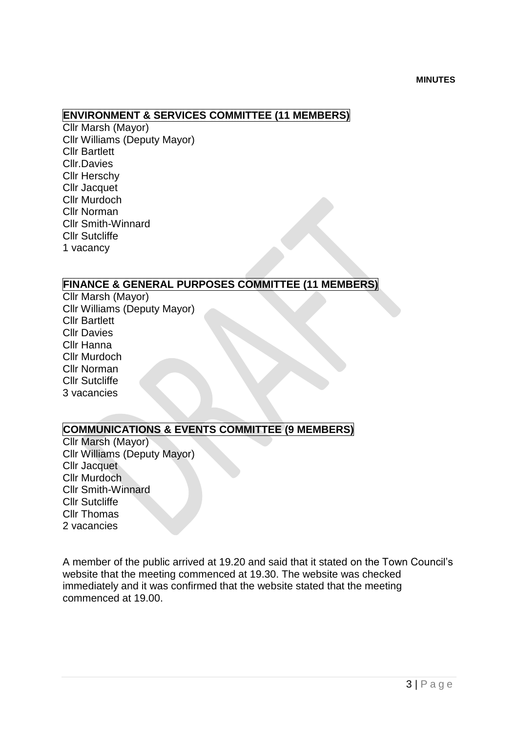## **ENVIRONMENT & SERVICES COMMITTEE (11 MEMBERS)**

Cllr Marsh (Mayor) Cllr Williams (Deputy Mayor) Cllr Bartlett Cllr.Davies Cllr Herschy Cllr Jacquet Cllr Murdoch Cllr Norman Cllr Smith-Winnard Cllr Sutcliffe 1 vacancy

## **FINANCE & GENERAL PURPOSES COMMITTEE (11 MEMBERS)**

Cllr Marsh (Mayor) Cllr Williams (Deputy Mayor) Cllr Bartlett Cllr Davies Cllr Hanna Cllr Murdoch Cllr Norman Cllr Sutcliffe 3 vacancies

## **COMMUNICATIONS & EVENTS COMMITTEE (9 MEMBERS)**

Cllr Marsh (Mayor) Cllr Williams (Deputy Mayor) Cllr Jacquet Cllr Murdoch Cllr Smith-Winnard Cllr Sutcliffe Cllr Thomas 2 vacancies

A member of the public arrived at 19.20 and said that it stated on the Town Council's website that the meeting commenced at 19.30. The website was checked immediately and it was confirmed that the website stated that the meeting commenced at 19.00.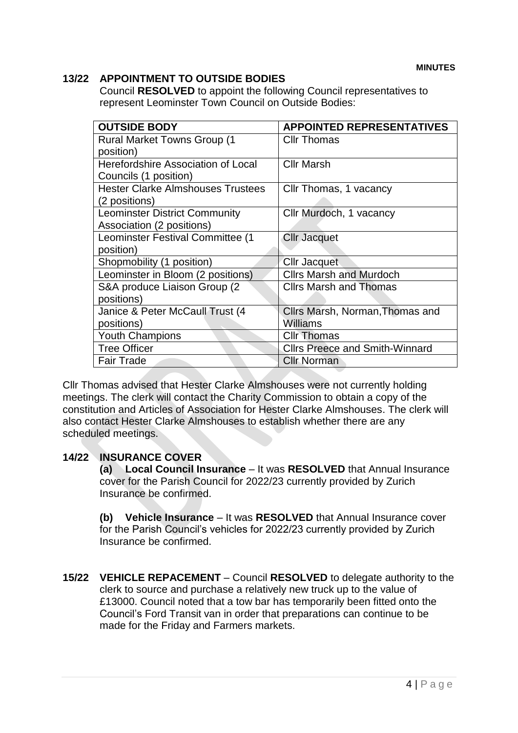## **13/22 APPOINTMENT TO OUTSIDE BODIES**

Council **RESOLVED** to appoint the following Council representatives to represent Leominster Town Council on Outside Bodies:

| <b>OUTSIDE BODY</b>                      | <b>APPOINTED REPRESENTATIVES</b>      |
|------------------------------------------|---------------------------------------|
| <b>Rural Market Towns Group (1)</b>      | <b>Cllr Thomas</b>                    |
| position)                                |                                       |
| Herefordshire Association of Local       | <b>Cllr Marsh</b>                     |
| Councils (1 position)                    |                                       |
| <b>Hester Clarke Almshouses Trustees</b> | Cllr Thomas, 1 vacancy                |
| (2 positions)                            |                                       |
| <b>Leominster District Community</b>     | Cllr Murdoch, 1 vacancy               |
| Association (2 positions)                |                                       |
| Leominster Festival Committee (1         | <b>Cllr Jacquet</b>                   |
| position)                                |                                       |
| Shopmobility (1 position)                | Cllr Jacquet                          |
| Leominster in Bloom (2 positions)        | <b>Clirs Marsh and Murdoch</b>        |
| S&A produce Liaison Group (2)            | <b>Cllrs Marsh and Thomas</b>         |
| positions)                               |                                       |
| Janice & Peter McCaull Trust (4          | Cllrs Marsh, Norman, Thomas and       |
| positions)                               | <b>Williams</b>                       |
| <b>Youth Champions</b>                   | <b>Cllr Thomas</b>                    |
| <b>Tree Officer</b>                      | <b>Clirs Preece and Smith-Winnard</b> |
| <b>Fair Trade</b>                        | <b>Cllr Norman</b>                    |

Cllr Thomas advised that Hester Clarke Almshouses were not currently holding meetings. The clerk will contact the Charity Commission to obtain a copy of the constitution and Articles of Association for Hester Clarke Almshouses. The clerk will also contact Hester Clarke Almshouses to establish whether there are any scheduled meetings.

## **14/22 INSURANCE COVER**

**(a) Local Council Insurance** – It was **RESOLVED** that Annual Insurance cover for the Parish Council for 2022/23 currently provided by Zurich Insurance be confirmed.

**(b) Vehicle Insurance** – It was **RESOLVED** that Annual Insurance cover for the Parish Council's vehicles for 2022/23 currently provided by Zurich Insurance be confirmed.

**15/22 VEHICLE REPACEMENT** – Council **RESOLVED** to delegate authority to the clerk to source and purchase a relatively new truck up to the value of £13000. Council noted that a tow bar has temporarily been fitted onto the Council's Ford Transit van in order that preparations can continue to be made for the Friday and Farmers markets.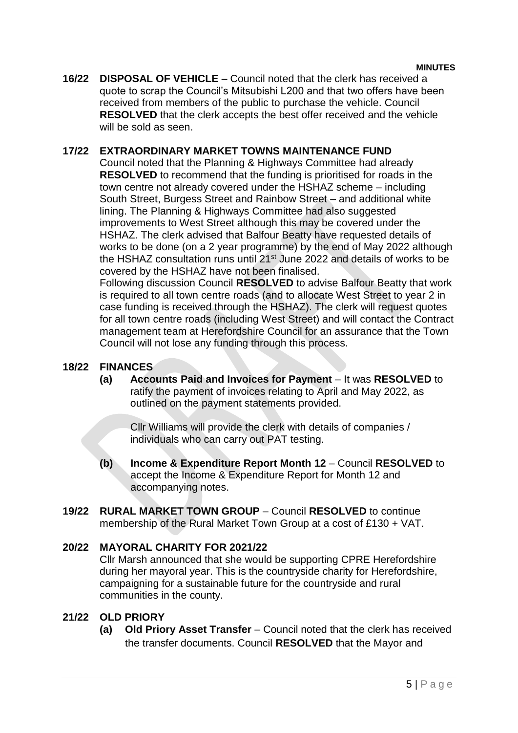**16/22 DISPOSAL OF VEHICLE** – Council noted that the clerk has received a quote to scrap the Council's Mitsubishi L200 and that two offers have been received from members of the public to purchase the vehicle. Council **RESOLVED** that the clerk accepts the best offer received and the vehicle will be sold as seen.

## **17/22 EXTRAORDINARY MARKET TOWNS MAINTENANCE FUND**

Council noted that the Planning & Highways Committee had already **RESOLVED** to recommend that the funding is prioritised for roads in the town centre not already covered under the HSHAZ scheme – including South Street, Burgess Street and Rainbow Street – and additional white lining. The Planning & Highways Committee had also suggested improvements to West Street although this may be covered under the HSHAZ. The clerk advised that Balfour Beatty have requested details of works to be done (on a 2 year programme) by the end of May 2022 although the HSHAZ consultation runs until 21<sup>st</sup> June 2022 and details of works to be covered by the HSHAZ have not been finalised.

Following discussion Council **RESOLVED** to advise Balfour Beatty that work is required to all town centre roads (and to allocate West Street to year 2 in case funding is received through the HSHAZ). The clerk will request quotes for all town centre roads (including West Street) and will contact the Contract management team at Herefordshire Council for an assurance that the Town Council will not lose any funding through this process.

## **18/22 FINANCES**

**(a) Accounts Paid and Invoices for Payment** – It was **RESOLVED** to ratify the payment of invoices relating to April and May 2022, as outlined on the payment statements provided.

Cllr Williams will provide the clerk with details of companies / individuals who can carry out PAT testing.

- **(b) Income & Expenditure Report Month 12** Council **RESOLVED** to accept the Income & Expenditure Report for Month 12 and accompanying notes.
- **19/22 RURAL MARKET TOWN GROUP** Council **RESOLVED** to continue membership of the Rural Market Town Group at a cost of £130 + VAT.

## **20/22 MAYORAL CHARITY FOR 2021/22**

Cllr Marsh announced that she would be supporting CPRE Herefordshire during her mayoral year. This is the countryside charity for Herefordshire, campaigning for a sustainable future for the countryside and rural communities in the county.

## **21/22 OLD PRIORY**

**(a) Old Priory Asset Transfer** – Council noted that the clerk has received the transfer documents. Council **RESOLVED** that the Mayor and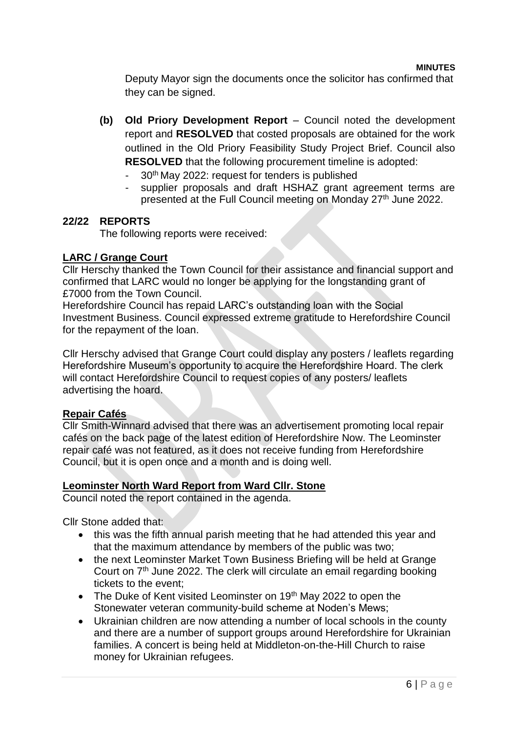Deputy Mayor sign the documents once the solicitor has confirmed that they can be signed.

- **(b) Old Priory Development Report** Council noted the development report and **RESOLVED** that costed proposals are obtained for the work outlined in the Old Priory Feasibility Study Project Brief. Council also **RESOLVED** that the following procurement timeline is adopted:
	- 30<sup>th</sup> May 2022: request for tenders is published
	- supplier proposals and draft HSHAZ grant agreement terms are presented at the Full Council meeting on Monday 27<sup>th</sup> June 2022.

## **22/22 REPORTS**

The following reports were received:

## **LARC / Grange Court**

Cllr Herschy thanked the Town Council for their assistance and financial support and confirmed that LARC would no longer be applying for the longstanding grant of £7000 from the Town Council.

Herefordshire Council has repaid LARC's outstanding loan with the Social Investment Business. Council expressed extreme gratitude to Herefordshire Council for the repayment of the loan.

Cllr Herschy advised that Grange Court could display any posters / leaflets regarding Herefordshire Museum's opportunity to acquire the Herefordshire Hoard. The clerk will contact Herefordshire Council to request copies of any posters/ leaflets advertising the hoard.

## **Repair Cafés**

Cllr Smith-Winnard advised that there was an advertisement promoting local repair cafés on the back page of the latest edition of Herefordshire Now. The Leominster repair café was not featured, as it does not receive funding from Herefordshire Council, but it is open once and a month and is doing well.

## **Leominster North Ward Report from Ward Cllr. Stone**

Council noted the report contained in the agenda.

Cllr Stone added that:

- this was the fifth annual parish meeting that he had attended this year and that the maximum attendance by members of the public was two;
- the next Leominster Market Town Business Briefing will be held at Grange Court on 7th June 2022. The clerk will circulate an email regarding booking tickets to the event;
- $\bullet$  The Duke of Kent visited Leominster on 19<sup>th</sup> May 2022 to open the Stonewater veteran community-build scheme at Noden's Mews;
- Ukrainian children are now attending a number of local schools in the county and there are a number of support groups around Herefordshire for Ukrainian families. A concert is being held at Middleton-on-the-Hill Church to raise money for Ukrainian refugees.